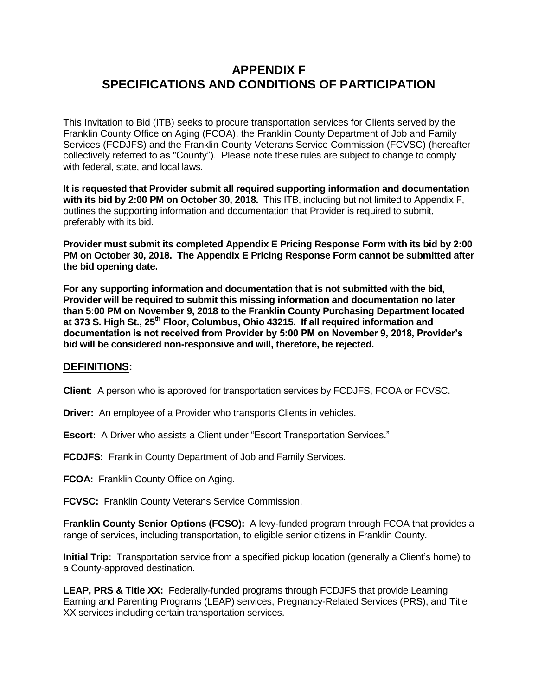# **APPENDIX F SPECIFICATIONS AND CONDITIONS OF PARTICIPATION**

This Invitation to Bid (ITB) seeks to procure transportation services for Clients served by the Franklin County Office on Aging (FCOA), the Franklin County Department of Job and Family Services (FCDJFS) and the Franklin County Veterans Service Commission (FCVSC) (hereafter collectively referred to as "County"). Please note these rules are subject to change to comply with federal, state, and local laws.

**It is requested that Provider submit all required supporting information and documentation with its bid by 2:00 PM on October 30, 2018.** This ITB, including but not limited to Appendix F, outlines the supporting information and documentation that Provider is required to submit, preferably with its bid.

**Provider must submit its completed Appendix E Pricing Response Form with its bid by 2:00 PM on October 30, 2018. The Appendix E Pricing Response Form cannot be submitted after the bid opening date.**

**For any supporting information and documentation that is not submitted with the bid, Provider will be required to submit this missing information and documentation no later than 5:00 PM on November 9, 2018 to the Franklin County Purchasing Department located at 373 S. High St., 25th Floor, Columbus, Ohio 43215. If all required information and documentation is not received from Provider by 5:00 PM on November 9, 2018, Provider's bid will be considered non-responsive and will, therefore, be rejected.** 

#### **DEFINITIONS:**

**Client**: A person who is approved for transportation services by FCDJFS, FCOA or FCVSC.

**Driver:** An employee of a Provider who transports Clients in vehicles.

**Escort:** A Driver who assists a Client under "Escort Transportation Services."

**FCDJFS:** Franklin County Department of Job and Family Services.

**FCOA:** Franklin County Office on Aging.

**FCVSC:** Franklin County Veterans Service Commission.

**Franklin County Senior Options (FCSO):** A levy-funded program through FCOA that provides a range of services, including transportation, to eligible senior citizens in Franklin County.

**Initial Trip:** Transportation service from a specified pickup location (generally a Client's home) to a County-approved destination.

**LEAP, PRS & Title XX:** Federally-funded programs through FCDJFS that provide Learning Earning and Parenting Programs (LEAP) services, Pregnancy-Related Services (PRS), and Title XX services including certain transportation services.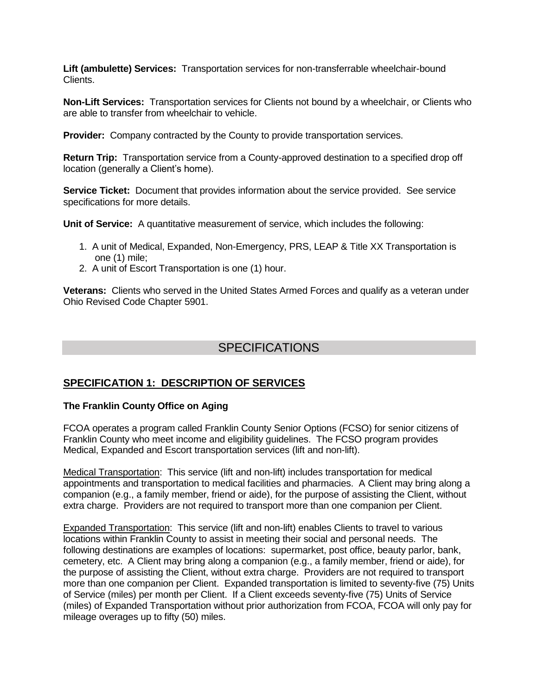**Lift (ambulette) Services:** Transportation services for non-transferrable wheelchair-bound Clients.

**Non-Lift Services:** Transportation services for Clients not bound by a wheelchair, or Clients who are able to transfer from wheelchair to vehicle.

**Provider:** Company contracted by the County to provide transportation services.

**Return Trip:** Transportation service from a County-approved destination to a specified drop off location (generally a Client's home).

**Service Ticket:** Document that provides information about the service provided. See service specifications for more details.

**Unit of Service:** A quantitative measurement of service, which includes the following:

- 1. A unit of Medical, Expanded, Non-Emergency, PRS, LEAP & Title XX Transportation is one (1) mile;
- 2. A unit of Escort Transportation is one (1) hour.

**Veterans:** Clients who served in the United States Armed Forces and qualify as a veteran under Ohio Revised Code Chapter 5901.

# **SPECIFICATIONS**

# **SPECIFICATION 1: DESCRIPTION OF SERVICES**

#### **The Franklin County Office on Aging**

FCOA operates a program called Franklin County Senior Options (FCSO) for senior citizens of Franklin County who meet income and eligibility guidelines. The FCSO program provides Medical, Expanded and Escort transportation services (lift and non-lift).

Medical Transportation: This service (lift and non-lift) includes transportation for medical appointments and transportation to medical facilities and pharmacies. A Client may bring along a companion (e.g., a family member, friend or aide), for the purpose of assisting the Client, without extra charge. Providers are not required to transport more than one companion per Client.

Expanded Transportation: This service (lift and non-lift) enables Clients to travel to various locations within Franklin County to assist in meeting their social and personal needs. The following destinations are examples of locations: supermarket, post office, beauty parlor, bank, cemetery, etc. A Client may bring along a companion (e.g., a family member, friend or aide), for the purpose of assisting the Client, without extra charge. Providers are not required to transport more than one companion per Client. Expanded transportation is limited to seventy-five (75) Units of Service (miles) per month per Client. If a Client exceeds seventy-five (75) Units of Service (miles) of Expanded Transportation without prior authorization from FCOA, FCOA will only pay for mileage overages up to fifty (50) miles.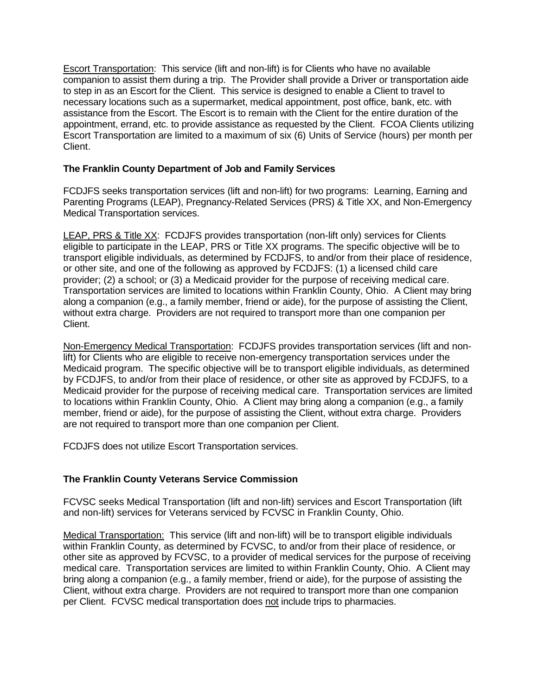Escort Transportation:This service (lift and non-lift) is for Clients who have no available companion to assist them during a trip. The Provider shall provide a Driver or transportation aide to step in as an Escort for the Client. This service is designed to enable a Client to travel to necessary locations such as a supermarket, medical appointment, post office, bank, etc. with assistance from the Escort. The Escort is to remain with the Client for the entire duration of the appointment, errand, etc. to provide assistance as requested by the Client. FCOA Clients utilizing Escort Transportation are limited to a maximum of six (6) Units of Service (hours) per month per Client.

## **The Franklin County Department of Job and Family Services**

FCDJFS seeks transportation services (lift and non-lift) for two programs: Learning, Earning and Parenting Programs (LEAP), Pregnancy-Related Services (PRS) & Title XX, and Non-Emergency Medical Transportation services.

LEAP, PRS & Title XX: FCDJFS provides transportation (non-lift only) services for Clients eligible to participate in the LEAP, PRS or Title XX programs. The specific objective will be to transport eligible individuals, as determined by FCDJFS, to and/or from their place of residence, or other site, and one of the following as approved by FCDJFS: (1) a licensed child care provider; (2) a school; or (3) a Medicaid provider for the purpose of receiving medical care. Transportation services are limited to locations within Franklin County, Ohio. A Client may bring along a companion (e.g., a family member, friend or aide), for the purpose of assisting the Client, without extra charge. Providers are not required to transport more than one companion per Client.

Non-Emergency Medical Transportation: FCDJFS provides transportation services (lift and nonlift) for Clients who are eligible to receive non-emergency transportation services under the Medicaid program. The specific objective will be to transport eligible individuals, as determined by FCDJFS, to and/or from their place of residence, or other site as approved by FCDJFS, to a Medicaid provider for the purpose of receiving medical care. Transportation services are limited to locations within Franklin County, Ohio. A Client may bring along a companion (e.g., a family member, friend or aide), for the purpose of assisting the Client, without extra charge. Providers are not required to transport more than one companion per Client.

FCDJFS does not utilize Escort Transportation services.

# **The Franklin County Veterans Service Commission**

FCVSC seeks Medical Transportation (lift and non-lift) services and Escort Transportation (lift and non-lift) services for Veterans serviced by FCVSC in Franklin County, Ohio.

Medical Transportation: This service (lift and non-lift) will be to transport eligible individuals within Franklin County, as determined by FCVSC, to and/or from their place of residence, or other site as approved by FCVSC, to a provider of medical services for the purpose of receiving medical care. Transportation services are limited to within Franklin County, Ohio. A Client may bring along a companion (e.g., a family member, friend or aide), for the purpose of assisting the Client, without extra charge. Providers are not required to transport more than one companion per Client. FCVSC medical transportation does not include trips to pharmacies.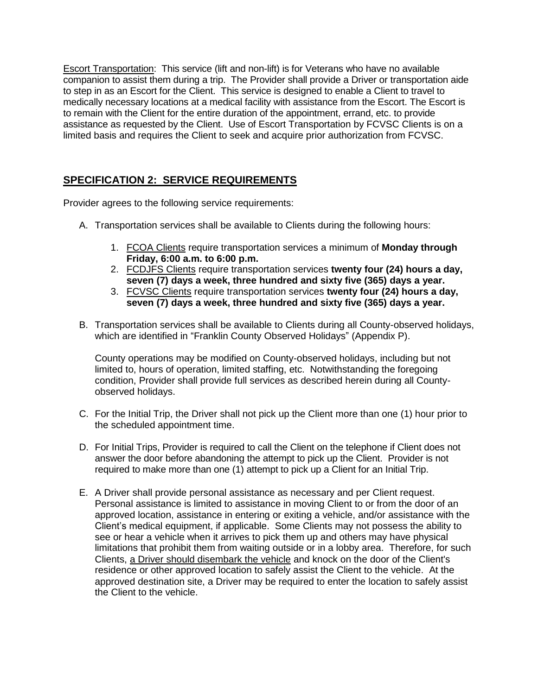Escort Transportation: This service (lift and non-lift) is for Veterans who have no available companion to assist them during a trip. The Provider shall provide a Driver or transportation aide to step in as an Escort for the Client. This service is designed to enable a Client to travel to medically necessary locations at a medical facility with assistance from the Escort. The Escort is to remain with the Client for the entire duration of the appointment, errand, etc. to provide assistance as requested by the Client. Use of Escort Transportation by FCVSC Clients is on a limited basis and requires the Client to seek and acquire prior authorization from FCVSC.

# **SPECIFICATION 2: SERVICE REQUIREMENTS**

Provider agrees to the following service requirements:

- A. Transportation services shall be available to Clients during the following hours:
	- 1. FCOA Clients require transportation services a minimum of **Monday through Friday, 6:00 a.m. to 6:00 p.m.**
	- 2. FCDJFS Clients require transportation services **twenty four (24) hours a day, seven (7) days a week, three hundred and sixty five (365) days a year.**
	- 3. FCVSC Clients require transportation services **twenty four (24) hours a day, seven (7) days a week, three hundred and sixty five (365) days a year.**
- B. Transportation services shall be available to Clients during all County-observed holidays, which are identified in "Franklin County Observed Holidays" (Appendix P).

County operations may be modified on County-observed holidays, including but not limited to, hours of operation, limited staffing, etc. Notwithstanding the foregoing condition, Provider shall provide full services as described herein during all Countyobserved holidays.

- C. For the Initial Trip, the Driver shall not pick up the Client more than one (1) hour prior to the scheduled appointment time.
- D. For Initial Trips, Provider is required to call the Client on the telephone if Client does not answer the door before abandoning the attempt to pick up the Client. Provider is not required to make more than one (1) attempt to pick up a Client for an Initial Trip.
- E. A Driver shall provide personal assistance as necessary and per Client request. Personal assistance is limited to assistance in moving Client to or from the door of an approved location, assistance in entering or exiting a vehicle, and/or assistance with the Client's medical equipment, if applicable. Some Clients may not possess the ability to see or hear a vehicle when it arrives to pick them up and others may have physical limitations that prohibit them from waiting outside or in a lobby area. Therefore, for such Clients, a Driver should disembark the vehicle and knock on the door of the Client's residence or other approved location to safely assist the Client to the vehicle. At the approved destination site, a Driver may be required to enter the location to safely assist the Client to the vehicle.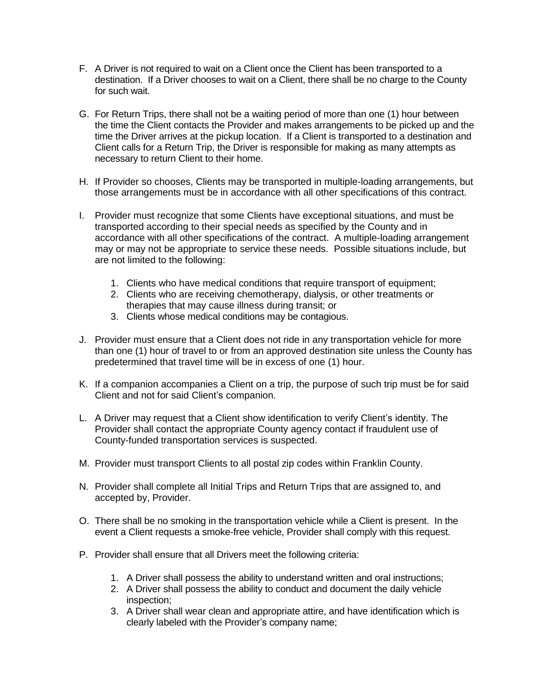- F. A Driver is not required to wait on a Client once the Client has been transported to a destination. If a Driver chooses to wait on a Client, there shall be no charge to the County for such wait.
- G. For Return Trips, there shall not be a waiting period of more than one (1) hour between the time the Client contacts the Provider and makes arrangements to be picked up and the time the Driver arrives at the pickup location. If a Client is transported to a destination and Client calls for a Return Trip, the Driver is responsible for making as many attempts as necessary to return Client to their home.
- H. If Provider so chooses, Clients may be transported in multiple-loading arrangements, but those arrangements must be in accordance with all other specifications of this contract.
- I. Provider must recognize that some Clients have exceptional situations, and must be transported according to their special needs as specified by the County and in accordance with all other specifications of the contract. A multiple-loading arrangement may or may not be appropriate to service these needs. Possible situations include, but are not limited to the following:
	- 1. Clients who have medical conditions that require transport of equipment;
	- 2. Clients who are receiving chemotherapy, dialysis, or other treatments or therapies that may cause illness during transit; or
	- 3. Clients whose medical conditions may be contagious.
- J. Provider must ensure that a Client does not ride in any transportation vehicle for more than one (1) hour of travel to or from an approved destination site unless the County has predetermined that travel time will be in excess of one (1) hour.
- K. If a companion accompanies a Client on a trip, the purpose of such trip must be for said Client and not for said Client's companion.
- L. A Driver may request that a Client show identification to verify Client's identity. The Provider shall contact the appropriate County agency contact if fraudulent use of County-funded transportation services is suspected.
- M. Provider must transport Clients to all postal zip codes within Franklin County.
- N. Provider shall complete all Initial Trips and Return Trips that are assigned to, and accepted by, Provider.
- O. There shall be no smoking in the transportation vehicle while a Client is present. In the event a Client requests a smoke-free vehicle, Provider shall comply with this request.
- P. Provider shall ensure that all Drivers meet the following criteria:
	- 1. A Driver shall possess the ability to understand written and oral instructions;
	- 2. A Driver shall possess the ability to conduct and document the daily vehicle inspection;
	- 3. A Driver shall wear clean and appropriate attire, and have identification which is clearly labeled with the Provider's company name;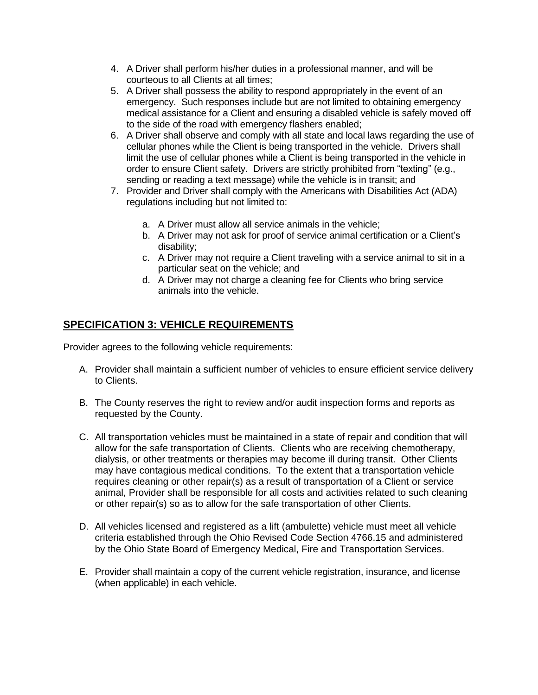- 4. A Driver shall perform his/her duties in a professional manner, and will be courteous to all Clients at all times;
- 5. A Driver shall possess the ability to respond appropriately in the event of an emergency. Such responses include but are not limited to obtaining emergency medical assistance for a Client and ensuring a disabled vehicle is safely moved off to the side of the road with emergency flashers enabled;
- 6. A Driver shall observe and comply with all state and local laws regarding the use of cellular phones while the Client is being transported in the vehicle. Drivers shall limit the use of cellular phones while a Client is being transported in the vehicle in order to ensure Client safety. Drivers are strictly prohibited from "texting" (e.g., sending or reading a text message) while the vehicle is in transit; and
- 7. Provider and Driver shall comply with the Americans with Disabilities Act (ADA) regulations including but not limited to:
	- a. A Driver must allow all service animals in the vehicle;
	- b. A Driver may not ask for proof of service animal certification or a Client's disability;
	- c. A Driver may not require a Client traveling with a service animal to sit in a particular seat on the vehicle; and
	- d. A Driver may not charge a cleaning fee for Clients who bring service animals into the vehicle.

# **SPECIFICATION 3: VEHICLE REQUIREMENTS**

Provider agrees to the following vehicle requirements:

- A. Provider shall maintain a sufficient number of vehicles to ensure efficient service delivery to Clients.
- B. The County reserves the right to review and/or audit inspection forms and reports as requested by the County.
- C. All transportation vehicles must be maintained in a state of repair and condition that will allow for the safe transportation of Clients. Clients who are receiving chemotherapy, dialysis, or other treatments or therapies may become ill during transit. Other Clients may have contagious medical conditions. To the extent that a transportation vehicle requires cleaning or other repair(s) as a result of transportation of a Client or service animal, Provider shall be responsible for all costs and activities related to such cleaning or other repair(s) so as to allow for the safe transportation of other Clients.
- D. All vehicles licensed and registered as a lift (ambulette) vehicle must meet all vehicle criteria established through the Ohio Revised Code Section 4766.15 and administered by the Ohio State Board of Emergency Medical, Fire and Transportation Services.
- E. Provider shall maintain a copy of the current vehicle registration, insurance, and license (when applicable) in each vehicle.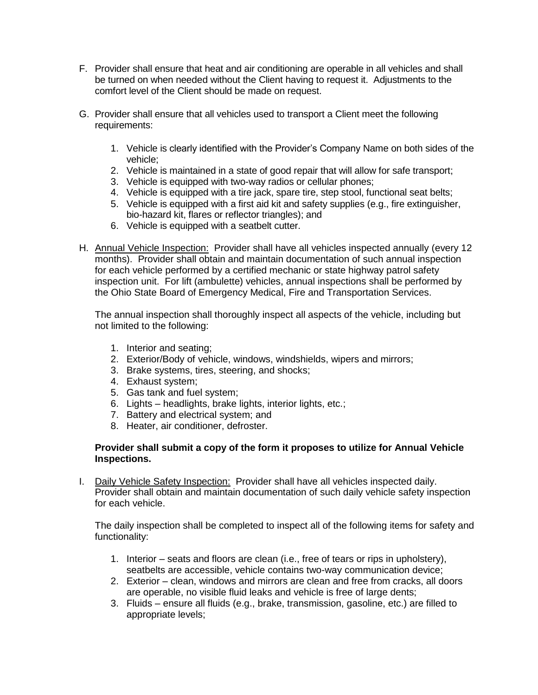- F. Provider shall ensure that heat and air conditioning are operable in all vehicles and shall be turned on when needed without the Client having to request it. Adjustments to the comfort level of the Client should be made on request.
- G. Provider shall ensure that all vehicles used to transport a Client meet the following requirements:
	- 1. Vehicle is clearly identified with the Provider's Company Name on both sides of the vehicle;
	- 2. Vehicle is maintained in a state of good repair that will allow for safe transport;
	- 3. Vehicle is equipped with two-way radios or cellular phones;
	- 4. Vehicle is equipped with a tire jack, spare tire, step stool, functional seat belts;
	- 5. Vehicle is equipped with a first aid kit and safety supplies (e.g., fire extinguisher, bio-hazard kit, flares or reflector triangles); and
	- 6. Vehicle is equipped with a seatbelt cutter.
- H. Annual Vehicle Inspection: Provider shall have all vehicles inspected annually (every 12 months). Provider shall obtain and maintain documentation of such annual inspection for each vehicle performed by a certified mechanic or state highway patrol safety inspection unit. For lift (ambulette) vehicles, annual inspections shall be performed by the Ohio State Board of Emergency Medical, Fire and Transportation Services.

The annual inspection shall thoroughly inspect all aspects of the vehicle, including but not limited to the following:

- 1. Interior and seating;
- 2. Exterior/Body of vehicle, windows, windshields, wipers and mirrors;
- 3. Brake systems, tires, steering, and shocks;
- 4. Exhaust system;
- 5. Gas tank and fuel system;
- 6. Lights headlights, brake lights, interior lights, etc.;
- 7. Battery and electrical system; and
- 8. Heater, air conditioner, defroster.

#### **Provider shall submit a copy of the form it proposes to utilize for Annual Vehicle Inspections.**

I. Daily Vehicle Safety Inspection: Provider shall have all vehicles inspected daily. Provider shall obtain and maintain documentation of such daily vehicle safety inspection for each vehicle.

The daily inspection shall be completed to inspect all of the following items for safety and functionality:

- 1. Interior seats and floors are clean (i.e., free of tears or rips in upholstery), seatbelts are accessible, vehicle contains two-way communication device;
- 2. Exterior clean, windows and mirrors are clean and free from cracks, all doors are operable, no visible fluid leaks and vehicle is free of large dents;
- 3. Fluids ensure all fluids (e.g., brake, transmission, gasoline, etc.) are filled to appropriate levels;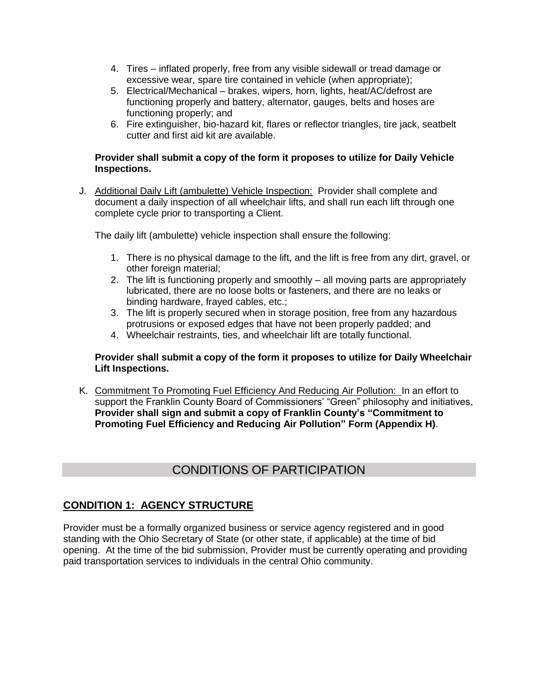- 4. Tires inflated properly, free from any visible sidewall or tread damage or excessive wear, spare tire contained in vehicle (when appropriate);
- 5. Electrical/Mechanical brakes, wipers, horn, lights, heat/AC/defrost are functioning properly and battery, alternator, gauges, belts and hoses are functioning properly; and
- 6. Fire extinguisher, bio-hazard kit, flares or reflector triangles, tire jack, seatbelt cutter and first aid kit are available.

#### **Provider shall submit a copy of the form it proposes to utilize for Daily Vehicle Inspections.**

J. Additional Daily Lift (ambulette) Vehicle Inspection: Provider shall complete and document a daily inspection of all wheelchair lifts, and shall run each lift through one complete cycle prior to transporting a Client.

The daily lift (ambulette) vehicle inspection shall ensure the following:

- 1. There is no physical damage to the lift, and the lift is free from any dirt, gravel, or other foreign material;
- 2. The lift is functioning properly and smoothly all moving parts are appropriately lubricated, there are no loose bolts or fasteners, and there are no leaks or binding hardware, frayed cables, etc.;
- 3. The lift is properly secured when in storage position, free from any hazardous protrusions or exposed edges that have not been properly padded; and
- 4. Wheelchair restraints, ties, and wheelchair lift are totally functional.

#### **Provider shall submit a copy of the form it proposes to utilize for Daily Wheelchair Lift Inspections.**

K. Commitment To Promoting Fuel Efficiency And Reducing Air Pollution: In an effort to support the Franklin County Board of Commissioners' "Green" philosophy and initiatives, **Provider shall sign and submit a copy of Franklin County's "Commitment to Promoting Fuel Efficiency and Reducing Air Pollution" Form (Appendix H)**.

# CONDITIONS OF PARTICIPATION

# **CONDITION 1: AGENCY STRUCTURE**

Provider must be a formally organized business or service agency registered and in good standing with the Ohio Secretary of State (or other state, if applicable) at the time of bid opening. At the time of the bid submission, Provider must be currently operating and providing paid transportation services to individuals in the central Ohio community.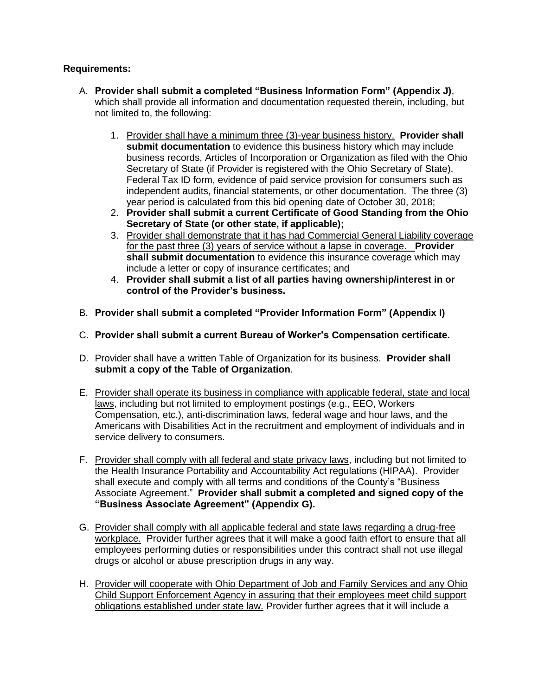### **Requirements:**

- A. **Provider shall submit a completed "Business Information Form" (Appendix J)**, which shall provide all information and documentation requested therein, including, but not limited to, the following:
	- 1. Provider shall have a minimum three (3)-year business history. **Provider shall submit documentation** to evidence this business history which may include business records, Articles of Incorporation or Organization as filed with the Ohio Secretary of State (if Provider is registered with the Ohio Secretary of State), Federal Tax ID form, evidence of paid service provision for consumers such as independent audits, financial statements, or other documentation. The three (3) year period is calculated from this bid opening date of October 30, 2018;
	- 2. **Provider shall submit a current Certificate of Good Standing from the Ohio Secretary of State (or other state, if applicable);**
	- 3. Provider shall demonstrate that it has had Commercial General Liability coverage for the past three (3) years of service without a lapse in coverage. **Provider shall submit documentation** to evidence this insurance coverage which may include a letter or copy of insurance certificates; and
	- 4. **Provider shall submit a list of all parties having ownership/interest in or control of the Provider's business.**
- B. **Provider shall submit a completed "Provider Information Form" (Appendix I)**
- C. **Provider shall submit a current Bureau of Worker's Compensation certificate.**
- D. Provider shall have a written Table of Organization for its business. **Provider shall submit a copy of the Table of Organization**.
- E. Provider shall operate its business in compliance with applicable federal, state and local laws, including but not limited to employment postings (e.g., EEO, Workers Compensation, etc.), anti-discrimination laws, federal wage and hour laws, and the Americans with Disabilities Act in the recruitment and employment of individuals and in service delivery to consumers.
- F. Provider shall comply with all federal and state privacy laws, including but not limited to the Health Insurance Portability and Accountability Act regulations (HIPAA). Provider shall execute and comply with all terms and conditions of the County's "Business Associate Agreement." **Provider shall submit a completed and signed copy of the "Business Associate Agreement" (Appendix G).**
- G. Provider shall comply with all applicable federal and state laws regarding a drug-free workplace. Provider further agrees that it will make a good faith effort to ensure that all employees performing duties or responsibilities under this contract shall not use illegal drugs or alcohol or abuse prescription drugs in any way.
- H. Provider will cooperate with Ohio Department of Job and Family Services and any Ohio Child Support Enforcement Agency in assuring that their employees meet child support obligations established under state law. Provider further agrees that it will include a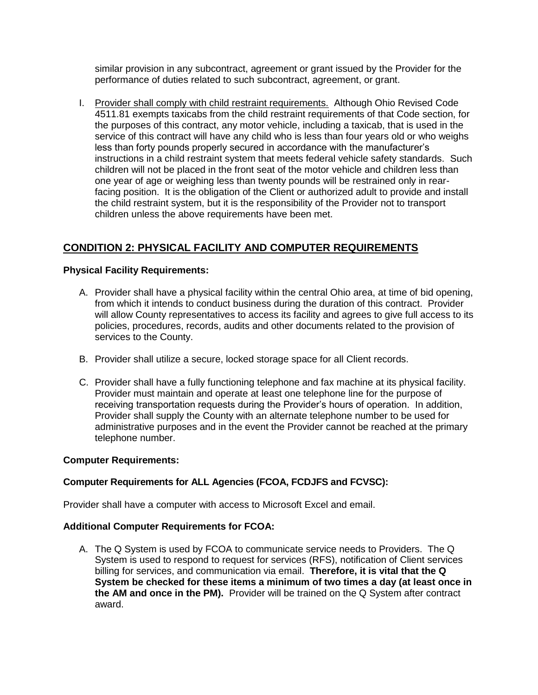similar provision in any subcontract, agreement or grant issued by the Provider for the performance of duties related to such subcontract, agreement, or grant.

I. Provider shall comply with child restraint requirements. Although Ohio Revised Code 4511.81 exempts taxicabs from the child restraint requirements of that Code section, for the purposes of this contract, any motor vehicle, including a taxicab, that is used in the service of this contract will have any child who is less than four years old or who weighs less than forty pounds properly secured in accordance with the manufacturer's instructions in a child restraint system that meets federal vehicle safety standards. Such children will not be placed in the front seat of the motor vehicle and children less than one year of age or weighing less than twenty pounds will be restrained only in rearfacing position. It is the obligation of the Client or authorized adult to provide and install the child restraint system, but it is the responsibility of the Provider not to transport children unless the above requirements have been met.

# **CONDITION 2: PHYSICAL FACILITY AND COMPUTER REQUIREMENTS**

## **Physical Facility Requirements:**

- A. Provider shall have a physical facility within the central Ohio area, at time of bid opening, from which it intends to conduct business during the duration of this contract. Provider will allow County representatives to access its facility and agrees to give full access to its policies, procedures, records, audits and other documents related to the provision of services to the County.
- B. Provider shall utilize a secure, locked storage space for all Client records.
- C. Provider shall have a fully functioning telephone and fax machine at its physical facility. Provider must maintain and operate at least one telephone line for the purpose of receiving transportation requests during the Provider's hours of operation. In addition, Provider shall supply the County with an alternate telephone number to be used for administrative purposes and in the event the Provider cannot be reached at the primary telephone number.

#### **Computer Requirements:**

# **Computer Requirements for ALL Agencies (FCOA, FCDJFS and FCVSC):**

Provider shall have a computer with access to Microsoft Excel and email.

#### **Additional Computer Requirements for FCOA:**

A. The Q System is used by FCOA to communicate service needs to Providers. The Q System is used to respond to request for services (RFS), notification of Client services billing for services, and communication via email. **Therefore, it is vital that the Q System be checked for these items a minimum of two times a day (at least once in the AM and once in the PM).** Provider will be trained on the Q System after contract award.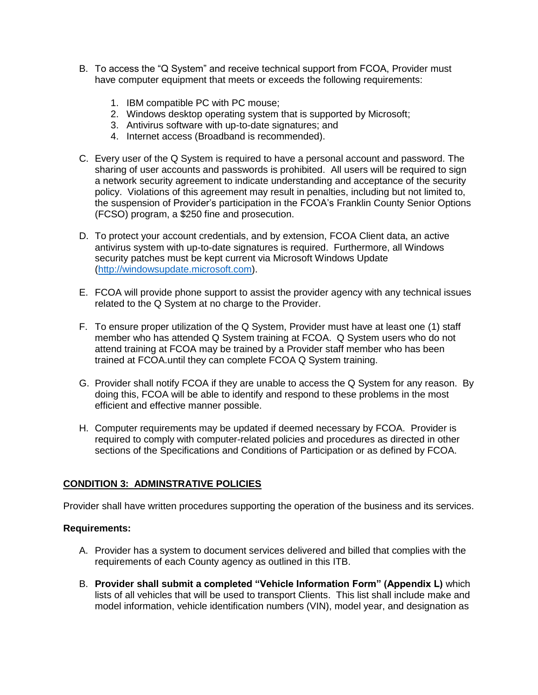- B. To access the "Q System" and receive technical support from FCOA, Provider must have computer equipment that meets or exceeds the following requirements:
	- 1. IBM compatible PC with PC mouse;
	- 2. Windows desktop operating system that is supported by Microsoft;
	- 3. Antivirus software with up-to-date signatures; and
	- 4. Internet access (Broadband is recommended).
- C. Every user of the Q System is required to have a personal account and password. The sharing of user accounts and passwords is prohibited. All users will be required to sign a network security agreement to indicate understanding and acceptance of the security policy. Violations of this agreement may result in penalties, including but not limited to, the suspension of Provider's participation in the FCOA's Franklin County Senior Options (FCSO) program, a \$250 fine and prosecution.
- D. To protect your account credentials, and by extension, FCOA Client data, an active antivirus system with up-to-date signatures is required. Furthermore, all Windows security patches must be kept current via Microsoft Windows Update [\(http://windowsupdate.microsoft.com\)](http://windowsupdate.microsoft.com/).
- E. FCOA will provide phone support to assist the provider agency with any technical issues related to the Q System at no charge to the Provider.
- F. To ensure proper utilization of the Q System, Provider must have at least one (1) staff member who has attended Q System training at FCOA. Q System users who do not attend training at FCOA may be trained by a Provider staff member who has been trained at FCOA.until they can complete FCOA Q System training.
- G. Provider shall notify FCOA if they are unable to access the Q System for any reason. By doing this, FCOA will be able to identify and respond to these problems in the most efficient and effective manner possible.
- H. Computer requirements may be updated if deemed necessary by FCOA. Provider is required to comply with computer-related policies and procedures as directed in other sections of the Specifications and Conditions of Participation or as defined by FCOA.

#### **CONDITION 3: ADMINSTRATIVE POLICIES**

Provider shall have written procedures supporting the operation of the business and its services.

#### **Requirements:**

- A. Provider has a system to document services delivered and billed that complies with the requirements of each County agency as outlined in this ITB.
- B. **Provider shall submit a completed "Vehicle Information Form" (Appendix L)** which lists of all vehicles that will be used to transport Clients. This list shall include make and model information, vehicle identification numbers (VIN), model year, and designation as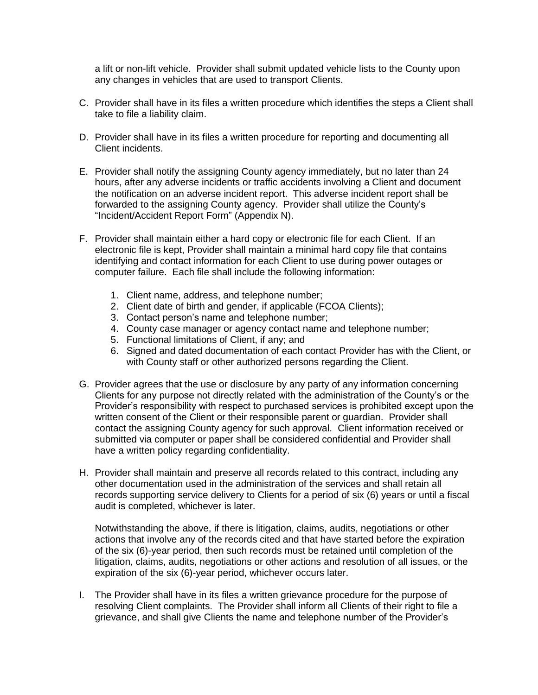a lift or non-lift vehicle. Provider shall submit updated vehicle lists to the County upon any changes in vehicles that are used to transport Clients.

- C. Provider shall have in its files a written procedure which identifies the steps a Client shall take to file a liability claim.
- D. Provider shall have in its files a written procedure for reporting and documenting all Client incidents.
- E. Provider shall notify the assigning County agency immediately, but no later than 24 hours, after any adverse incidents or traffic accidents involving a Client and document the notification on an adverse incident report. This adverse incident report shall be forwarded to the assigning County agency. Provider shall utilize the County's "Incident/Accident Report Form" (Appendix N).
- F. Provider shall maintain either a hard copy or electronic file for each Client. If an electronic file is kept, Provider shall maintain a minimal hard copy file that contains identifying and contact information for each Client to use during power outages or computer failure. Each file shall include the following information:
	- 1. Client name, address, and telephone number;
	- 2. Client date of birth and gender, if applicable (FCOA Clients);
	- 3. Contact person's name and telephone number;
	- 4. County case manager or agency contact name and telephone number;
	- 5. Functional limitations of Client, if any; and
	- 6. Signed and dated documentation of each contact Provider has with the Client, or with County staff or other authorized persons regarding the Client.
- G. Provider agrees that the use or disclosure by any party of any information concerning Clients for any purpose not directly related with the administration of the County's or the Provider's responsibility with respect to purchased services is prohibited except upon the written consent of the Client or their responsible parent or guardian. Provider shall contact the assigning County agency for such approval. Client information received or submitted via computer or paper shall be considered confidential and Provider shall have a written policy regarding confidentiality.
- H. Provider shall maintain and preserve all records related to this contract, including any other documentation used in the administration of the services and shall retain all records supporting service delivery to Clients for a period of six (6) years or until a fiscal audit is completed, whichever is later.

Notwithstanding the above, if there is litigation, claims, audits, negotiations or other actions that involve any of the records cited and that have started before the expiration of the six (6)-year period, then such records must be retained until completion of the litigation, claims, audits, negotiations or other actions and resolution of all issues, or the expiration of the six (6)-year period, whichever occurs later.

I. The Provider shall have in its files a written grievance procedure for the purpose of resolving Client complaints. The Provider shall inform all Clients of their right to file a grievance, and shall give Clients the name and telephone number of the Provider's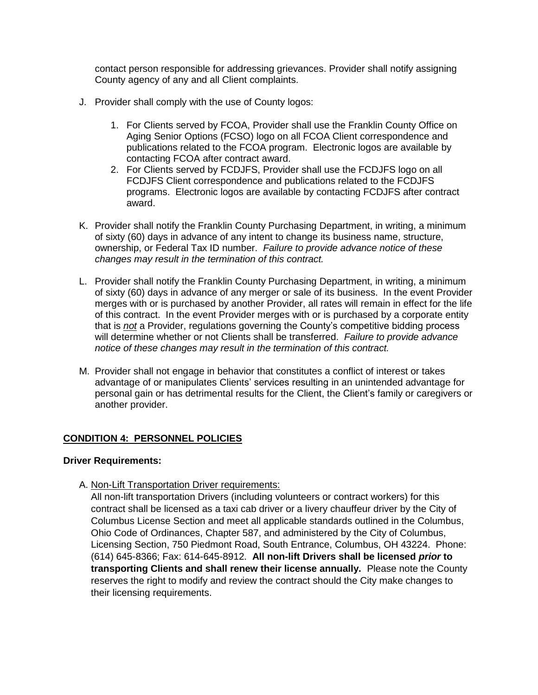contact person responsible for addressing grievances. Provider shall notify assigning County agency of any and all Client complaints.

- J. Provider shall comply with the use of County logos:
	- 1. For Clients served by FCOA, Provider shall use the Franklin County Office on Aging Senior Options (FCSO) logo on all FCOA Client correspondence and publications related to the FCOA program. Electronic logos are available by contacting FCOA after contract award.
	- 2. For Clients served by FCDJFS, Provider shall use the FCDJFS logo on all FCDJFS Client correspondence and publications related to the FCDJFS programs. Electronic logos are available by contacting FCDJFS after contract award.
- K. Provider shall notify the Franklin County Purchasing Department, in writing, a minimum of sixty (60) days in advance of any intent to change its business name, structure, ownership, or Federal Tax ID number. *Failure to provide advance notice of these changes may result in the termination of this contract.*
- L. Provider shall notify the Franklin County Purchasing Department, in writing, a minimum of sixty (60) days in advance of any merger or sale of its business. In the event Provider merges with or is purchased by another Provider, all rates will remain in effect for the life of this contract. In the event Provider merges with or is purchased by a corporate entity that is *not* a Provider, regulations governing the County's competitive bidding process will determine whether or not Clients shall be transferred. *Failure to provide advance notice of these changes may result in the termination of this contract.*
- M. Provider shall not engage in behavior that constitutes a conflict of interest or takes advantage of or manipulates Clients' services resulting in an unintended advantage for personal gain or has detrimental results for the Client, the Client's family or caregivers or another provider.

#### **CONDITION 4: PERSONNEL POLICIES**

#### **Driver Requirements:**

A. Non-Lift Transportation Driver requirements:

All non-lift transportation Drivers (including volunteers or contract workers) for this contract shall be licensed as a taxi cab driver or a livery chauffeur driver by the City of Columbus License Section and meet all applicable standards outlined in the Columbus, Ohio Code of Ordinances, Chapter 587, and administered by the City of Columbus, Licensing Section, 750 Piedmont Road, South Entrance, Columbus, OH 43224. Phone: (614) 645-8366; Fax: 614-645-8912. **All non-lift Drivers shall be licensed** *prior* **to transporting Clients and shall renew their license annually.** Please note the County reserves the right to modify and review the contract should the City make changes to their licensing requirements.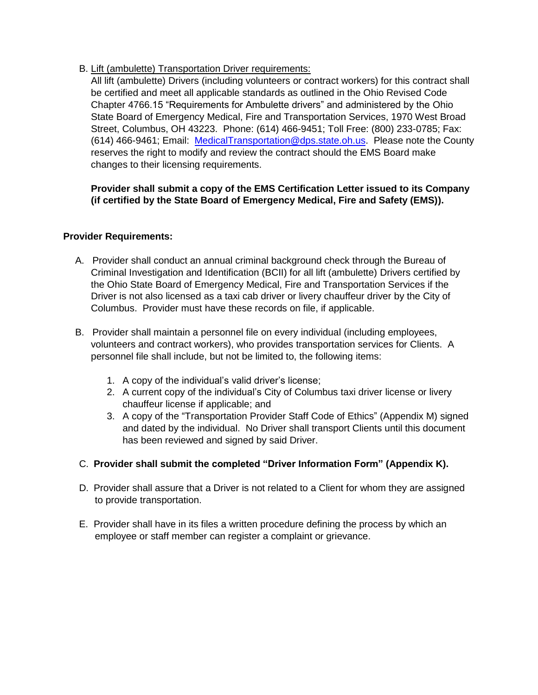## B. Lift (ambulette) Transportation Driver requirements:

All lift (ambulette) Drivers (including volunteers or contract workers) for this contract shall be certified and meet all applicable standards as outlined in the Ohio Revised Code Chapter 4766.15 "Requirements for Ambulette drivers" and administered by the Ohio State Board of Emergency Medical, Fire and Transportation Services, 1970 West Broad Street, Columbus, OH 43223. Phone: (614) 466-9451; Toll Free: (800) 233-0785; Fax: (614) 466-9461; Email: [MedicalTransportation@dps.state.oh.us.](mailto:MedicalTransportation@dps.state.oh.us) Please note the County reserves the right to modify and review the contract should the EMS Board make changes to their licensing requirements.

## **Provider shall submit a copy of the EMS Certification Letter issued to its Company (if certified by the State Board of Emergency Medical, Fire and Safety (EMS)).**

#### **Provider Requirements:**

- A. Provider shall conduct an annual criminal background check through the Bureau of Criminal Investigation and Identification (BCII) for all lift (ambulette) Drivers certified by the Ohio State Board of Emergency Medical, Fire and Transportation Services if the Driver is not also licensed as a taxi cab driver or livery chauffeur driver by the City of Columbus. Provider must have these records on file, if applicable.
- B. Provider shall maintain a personnel file on every individual (including employees, volunteers and contract workers), who provides transportation services for Clients.A personnel file shall include, but not be limited to, the following items:
	- 1. A copy of the individual's valid driver's license;
	- 2. A current copy of the individual's City of Columbus taxi driver license or livery chauffeur license if applicable; and
	- 3. A copy of the "Transportation Provider Staff Code of Ethics" (Appendix M) signed and dated by the individual. No Driver shall transport Clients until this document has been reviewed and signed by said Driver.

# C. **Provider shall submit the completed "Driver Information Form" (Appendix K).**

- D. Provider shall assure that a Driver is not related to a Client for whom they are assigned to provide transportation.
- E. Provider shall have in its files a written procedure defining the process by which an employee or staff member can register a complaint or grievance.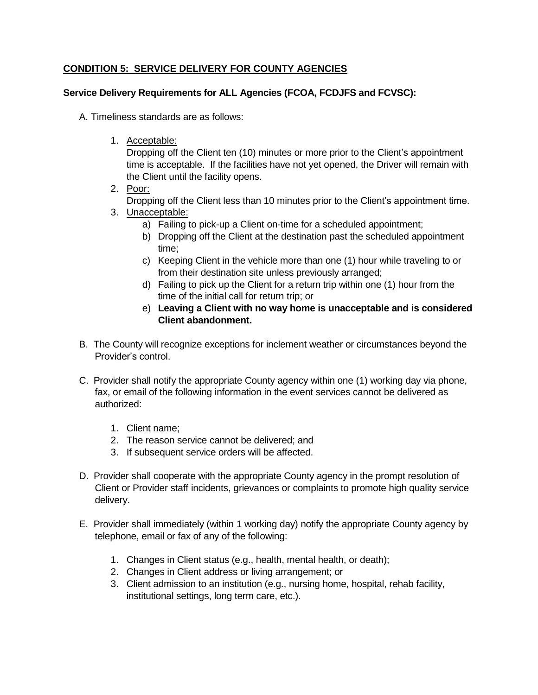# **CONDITION 5: SERVICE DELIVERY FOR COUNTY AGENCIES**

### **Service Delivery Requirements for ALL Agencies (FCOA, FCDJFS and FCVSC):**

A. Timeliness standards are as follows:

1. Acceptable:

Dropping off the Client ten (10) minutes or more prior to the Client's appointment time is acceptable. If the facilities have not yet opened, the Driver will remain with the Client until the facility opens.

2. Poor:

Dropping off the Client less than 10 minutes prior to the Client's appointment time.

- 3. Unacceptable:
	- a) Failing to pick-up a Client on-time for a scheduled appointment;
	- b) Dropping off the Client at the destination past the scheduled appointment time;
	- c) Keeping Client in the vehicle more than one (1) hour while traveling to or from their destination site unless previously arranged;
	- d) Failing to pick up the Client for a return trip within one (1) hour from the time of the initial call for return trip; or
	- e) **Leaving a Client with no way home is unacceptable and is considered Client abandonment.**
- B. The County will recognize exceptions for inclement weather or circumstances beyond the Provider's control.
- C. Provider shall notify the appropriate County agency within one (1) working day via phone, fax, or email of the following information in the event services cannot be delivered as authorized:
	- 1. Client name;
	- 2. The reason service cannot be delivered; and
	- 3. If subsequent service orders will be affected.
- D. Provider shall cooperate with the appropriate County agency in the prompt resolution of Client or Provider staff incidents, grievances or complaints to promote high quality service delivery.
- E. Provider shall immediately (within 1 working day) notify the appropriate County agency by telephone, email or fax of any of the following:
	- 1. Changes in Client status (e.g., health, mental health, or death);
	- 2. Changes in Client address or living arrangement; or
	- 3. Client admission to an institution (e.g., nursing home, hospital, rehab facility, institutional settings, long term care, etc.).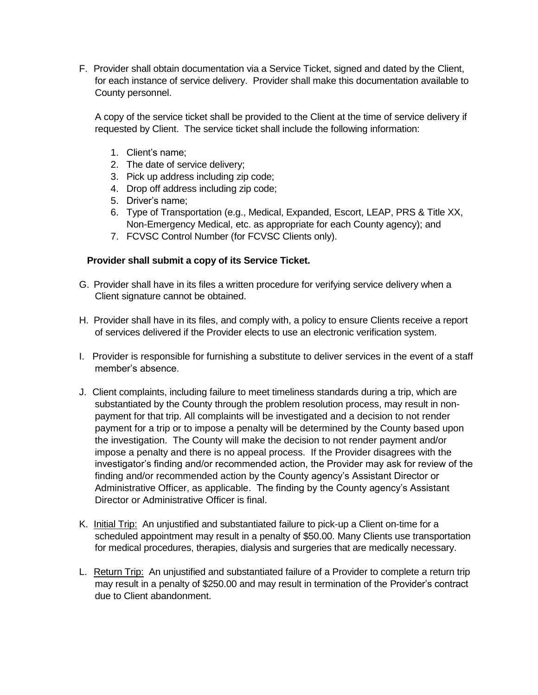F. Provider shall obtain documentation via a Service Ticket, signed and dated by the Client, for each instance of service delivery. Provider shall make this documentation available to County personnel.

A copy of the service ticket shall be provided to the Client at the time of service delivery if requested by Client. The service ticket shall include the following information:

- 1. Client's name;
- 2. The date of service delivery;
- 3. Pick up address including zip code;
- 4. Drop off address including zip code;
- 5. Driver's name;
- 6. Type of Transportation (e.g., Medical, Expanded, Escort, LEAP, PRS & Title XX, Non-Emergency Medical, etc. as appropriate for each County agency); and
- 7. FCVSC Control Number (for FCVSC Clients only).

#### **Provider shall submit a copy of its Service Ticket.**

- G. Provider shall have in its files a written procedure for verifying service delivery when a Client signature cannot be obtained.
- H. Provider shall have in its files, and comply with, a policy to ensure Clients receive a report of services delivered if the Provider elects to use an electronic verification system.
- I. Provider is responsible for furnishing a substitute to deliver services in the event of a staff member's absence.
- J. Client complaints, including failure to meet timeliness standards during a trip, which are substantiated by the County through the problem resolution process, may result in nonpayment for that trip. All complaints will be investigated and a decision to not render payment for a trip or to impose a penalty will be determined by the County based upon the investigation. The County will make the decision to not render payment and/or impose a penalty and there is no appeal process. If the Provider disagrees with the investigator's finding and/or recommended action, the Provider may ask for review of the finding and/or recommended action by the County agency's Assistant Director or Administrative Officer, as applicable. The finding by the County agency's Assistant Director or Administrative Officer is final.
- K. Initial Trip: An unjustified and substantiated failure to pick-up a Client on-time for a scheduled appointment may result in a penalty of \$50.00. Many Clients use transportation for medical procedures, therapies, dialysis and surgeries that are medically necessary.
- L. Return Trip: An unjustified and substantiated failure of a Provider to complete a return trip may result in a penalty of \$250.00 and may result in termination of the Provider's contract due to Client abandonment.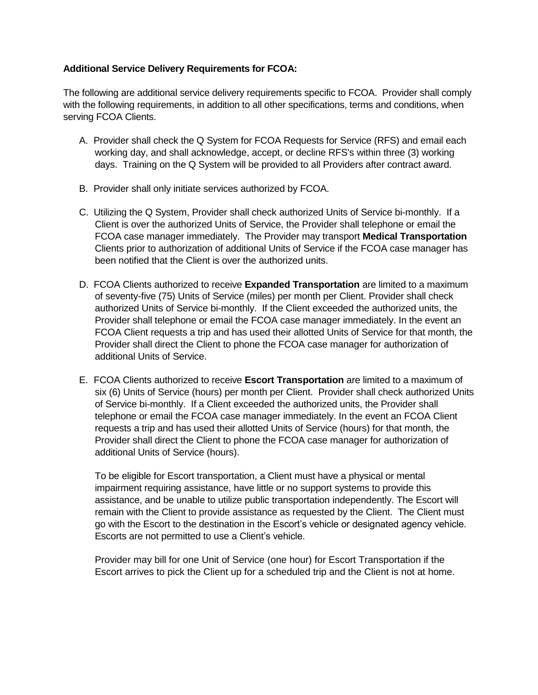### **Additional Service Delivery Requirements for FCOA:**

The following are additional service delivery requirements specific to FCOA. Provider shall comply with the following requirements, in addition to all other specifications, terms and conditions, when serving FCOA Clients.

- A. Provider shall check the Q System for FCOA Requests for Service (RFS) and email each working day, and shall acknowledge, accept, or decline RFS's within three (3) working days. Training on the Q System will be provided to all Providers after contract award.
- B. Provider shall only initiate services authorized by FCOA.
- C. Utilizing the Q System, Provider shall check authorized Units of Service bi-monthly. If a Client is over the authorized Units of Service, the Provider shall telephone or email the FCOA case manager immediately. The Provider may transport **Medical Transportation** Clients prior to authorization of additional Units of Service if the FCOA case manager has been notified that the Client is over the authorized units.
- D. FCOA Clients authorized to receive **Expanded Transportation** are limited to a maximum of seventy-five (75) Units of Service (miles) per month per Client. Provider shall check authorized Units of Service bi-monthly. If the Client exceeded the authorized units, the Provider shall telephone or email the FCOA case manager immediately. In the event an FCOA Client requests a trip and has used their allotted Units of Service for that month, the Provider shall direct the Client to phone the FCOA case manager for authorization of additional Units of Service.
- E. FCOA Clients authorized to receive **Escort Transportation** are limited to a maximum of six (6) Units of Service (hours) per month per Client. Provider shall check authorized Units of Service bi-monthly. If a Client exceeded the authorized units, the Provider shall telephone or email the FCOA case manager immediately. In the event an FCOA Client requests a trip and has used their allotted Units of Service (hours) for that month, the Provider shall direct the Client to phone the FCOA case manager for authorization of additional Units of Service (hours).

To be eligible for Escort transportation, a Client must have a physical or mental impairment requiring assistance, have little or no support systems to provide this assistance, and be unable to utilize public transportation independently. The Escort will remain with the Client to provide assistance as requested by the Client. The Client must go with the Escort to the destination in the Escort's vehicle or designated agency vehicle. Escorts are not permitted to use a Client's vehicle.

Provider may bill for one Unit of Service (one hour) for Escort Transportation if the Escort arrives to pick the Client up for a scheduled trip and the Client is not at home.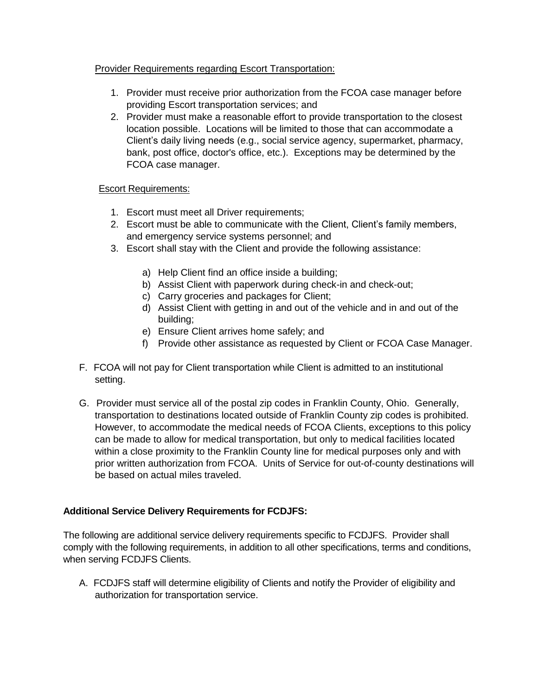## Provider Requirements regarding Escort Transportation:

- 1. Provider must receive prior authorization from the FCOA case manager before providing Escort transportation services; and
- 2. Provider must make a reasonable effort to provide transportation to the closest location possible. Locations will be limited to those that can accommodate a Client's daily living needs (e.g., social service agency, supermarket, pharmacy, bank, post office, doctor's office, etc.). Exceptions may be determined by the FCOA case manager.

## Escort Requirements:

- 1. Escort must meet all Driver requirements;
- 2. Escort must be able to communicate with the Client, Client's family members, and emergency service systems personnel; and
- 3. Escort shall stay with the Client and provide the following assistance:
	- a) Help Client find an office inside a building;
	- b) Assist Client with paperwork during check-in and check-out;
	- c) Carry groceries and packages for Client;
	- d) Assist Client with getting in and out of the vehicle and in and out of the building;
	- e) Ensure Client arrives home safely; and
	- f) Provide other assistance as requested by Client or FCOA Case Manager.
- F. FCOA will not pay for Client transportation while Client is admitted to an institutional setting.
- G. Provider must service all of the postal zip codes in Franklin County, Ohio. Generally, transportation to destinations located outside of Franklin County zip codes is prohibited. However, to accommodate the medical needs of FCOA Clients, exceptions to this policy can be made to allow for medical transportation, but only to medical facilities located within a close proximity to the Franklin County line for medical purposes only and with prior written authorization from FCOA. Units of Service for out-of-county destinations will be based on actual miles traveled.

# **Additional Service Delivery Requirements for FCDJFS:**

The following are additional service delivery requirements specific to FCDJFS. Provider shall comply with the following requirements, in addition to all other specifications, terms and conditions, when serving FCDJFS Clients.

A. FCDJFS staff will determine eligibility of Clients and notify the Provider of eligibility and authorization for transportation service.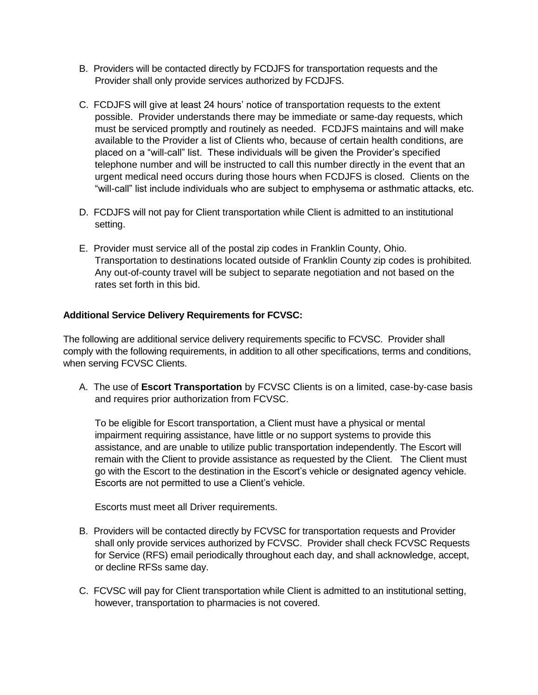- B. Providers will be contacted directly by FCDJFS for transportation requests and the Provider shall only provide services authorized by FCDJFS.
- C. FCDJFS will give at least 24 hours' notice of transportation requests to the extent possible. Provider understands there may be immediate or same-day requests, which must be serviced promptly and routinely as needed. FCDJFS maintains and will make available to the Provider a list of Clients who, because of certain health conditions, are placed on a "will-call" list. These individuals will be given the Provider's specified telephone number and will be instructed to call this number directly in the event that an urgent medical need occurs during those hours when FCDJFS is closed. Clients on the "will-call" list include individuals who are subject to emphysema or asthmatic attacks, etc.
- D. FCDJFS will not pay for Client transportation while Client is admitted to an institutional setting.
- E. Provider must service all of the postal zip codes in Franklin County, Ohio. Transportation to destinations located outside of Franklin County zip codes is prohibited*.*  Any out-of-county travel will be subject to separate negotiation and not based on the rates set forth in this bid.

## **Additional Service Delivery Requirements for FCVSC:**

The following are additional service delivery requirements specific to FCVSC. Provider shall comply with the following requirements, in addition to all other specifications, terms and conditions, when serving FCVSC Clients.

A. The use of **Escort Transportation** by FCVSC Clients is on a limited, case-by-case basis and requires prior authorization from FCVSC.

To be eligible for Escort transportation, a Client must have a physical or mental impairment requiring assistance, have little or no support systems to provide this assistance, and are unable to utilize public transportation independently. The Escort will remain with the Client to provide assistance as requested by the Client. The Client must go with the Escort to the destination in the Escort's vehicle or designated agency vehicle. Escorts are not permitted to use a Client's vehicle.

Escorts must meet all Driver requirements.

- B. Providers will be contacted directly by FCVSC for transportation requests and Provider shall only provide services authorized by FCVSC. Provider shall check FCVSC Requests for Service (RFS) email periodically throughout each day, and shall acknowledge, accept, or decline RFSs same day.
- C. FCVSC will pay for Client transportation while Client is admitted to an institutional setting, however, transportation to pharmacies is not covered.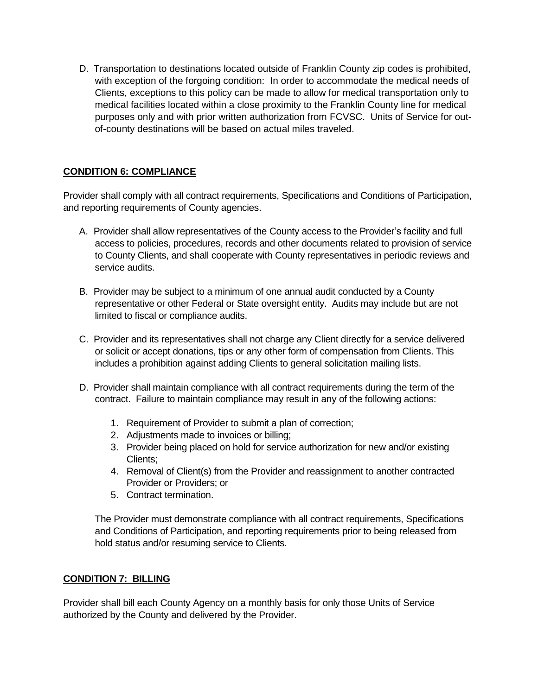D. Transportation to destinations located outside of Franklin County zip codes is prohibited, with exception of the forgoing condition: In order to accommodate the medical needs of Clients, exceptions to this policy can be made to allow for medical transportation only to medical facilities located within a close proximity to the Franklin County line for medical purposes only and with prior written authorization from FCVSC. Units of Service for outof-county destinations will be based on actual miles traveled.

## **CONDITION 6: COMPLIANCE**

Provider shall comply with all contract requirements, Specifications and Conditions of Participation, and reporting requirements of County agencies.

- A. Provider shall allow representatives of the County access to the Provider's facility and full access to policies, procedures, records and other documents related to provision of service to County Clients, and shall cooperate with County representatives in periodic reviews and service audits.
- B. Provider may be subject to a minimum of one annual audit conducted by a County representative or other Federal or State oversight entity. Audits may include but are not limited to fiscal or compliance audits.
- C. Provider and its representatives shall not charge any Client directly for a service delivered or solicit or accept donations, tips or any other form of compensation from Clients. This includes a prohibition against adding Clients to general solicitation mailing lists.
- D. Provider shall maintain compliance with all contract requirements during the term of the contract. Failure to maintain compliance may result in any of the following actions:
	- 1. Requirement of Provider to submit a plan of correction;
	- 2. Adjustments made to invoices or billing;
	- 3. Provider being placed on hold for service authorization for new and/or existing Clients;
	- 4. Removal of Client(s) from the Provider and reassignment to another contracted Provider or Providers; or
	- 5. Contract termination.

The Provider must demonstrate compliance with all contract requirements, Specifications and Conditions of Participation, and reporting requirements prior to being released from hold status and/or resuming service to Clients.

#### **CONDITION 7: BILLING**

Provider shall bill each County Agency on a monthly basis for only those Units of Service authorized by the County and delivered by the Provider.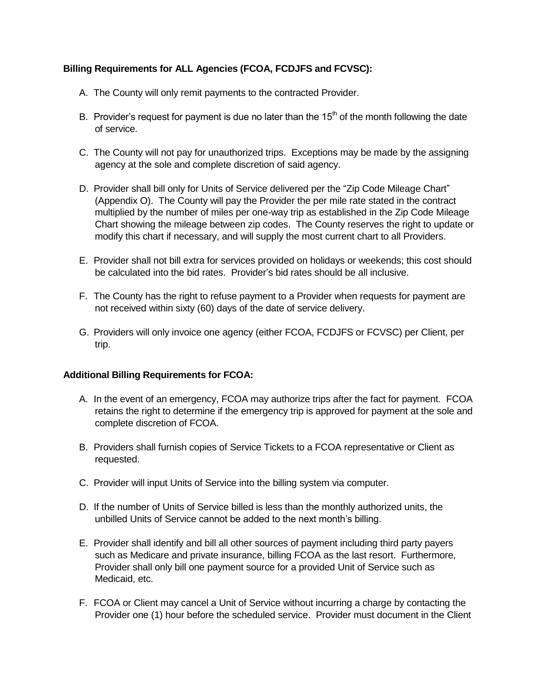# **Billing Requirements for ALL Agencies (FCOA, FCDJFS and FCVSC):**

- A. The County will only remit payments to the contracted Provider.
- B. Provider's request for payment is due no later than the  $15<sup>th</sup>$  of the month following the date of service.
- C. The County will not pay for unauthorized trips. Exceptions may be made by the assigning agency at the sole and complete discretion of said agency.
- D. Provider shall bill only for Units of Service delivered per the "Zip Code Mileage Chart" (Appendix O). The County will pay the Provider the per mile rate stated in the contract multiplied by the number of miles per one-way trip as established in the Zip Code Mileage Chart showing the mileage between zip codes. The County reserves the right to update or modify this chart if necessary, and will supply the most current chart to all Providers.
- E. Provider shall not bill extra for services provided on holidays or weekends; this cost should be calculated into the bid rates. Provider's bid rates should be all inclusive.
- F. The County has the right to refuse payment to a Provider when requests for payment are not received within sixty (60) days of the date of service delivery.
- G. Providers will only invoice one agency (either FCOA, FCDJFS or FCVSC) per Client, per trip.

#### **Additional Billing Requirements for FCOA:**

- A. In the event of an emergency, FCOA may authorize trips after the fact for payment. FCOA retains the right to determine if the emergency trip is approved for payment at the sole and complete discretion of FCOA.
- B. Providers shall furnish copies of Service Tickets to a FCOA representative or Client as requested.
- C. Provider will input Units of Service into the billing system via computer.
- D. If the number of Units of Service billed is less than the monthly authorized units, the unbilled Units of Service cannot be added to the next month's billing.
- E. Provider shall identify and bill all other sources of payment including third party payers such as Medicare and private insurance, billing FCOA as the last resort. Furthermore, Provider shall only bill one payment source for a provided Unit of Service such as Medicaid, etc.
- F. FCOA or Client may cancel a Unit of Service without incurring a charge by contacting the Provider one (1) hour before the scheduled service. Provider must document in the Client